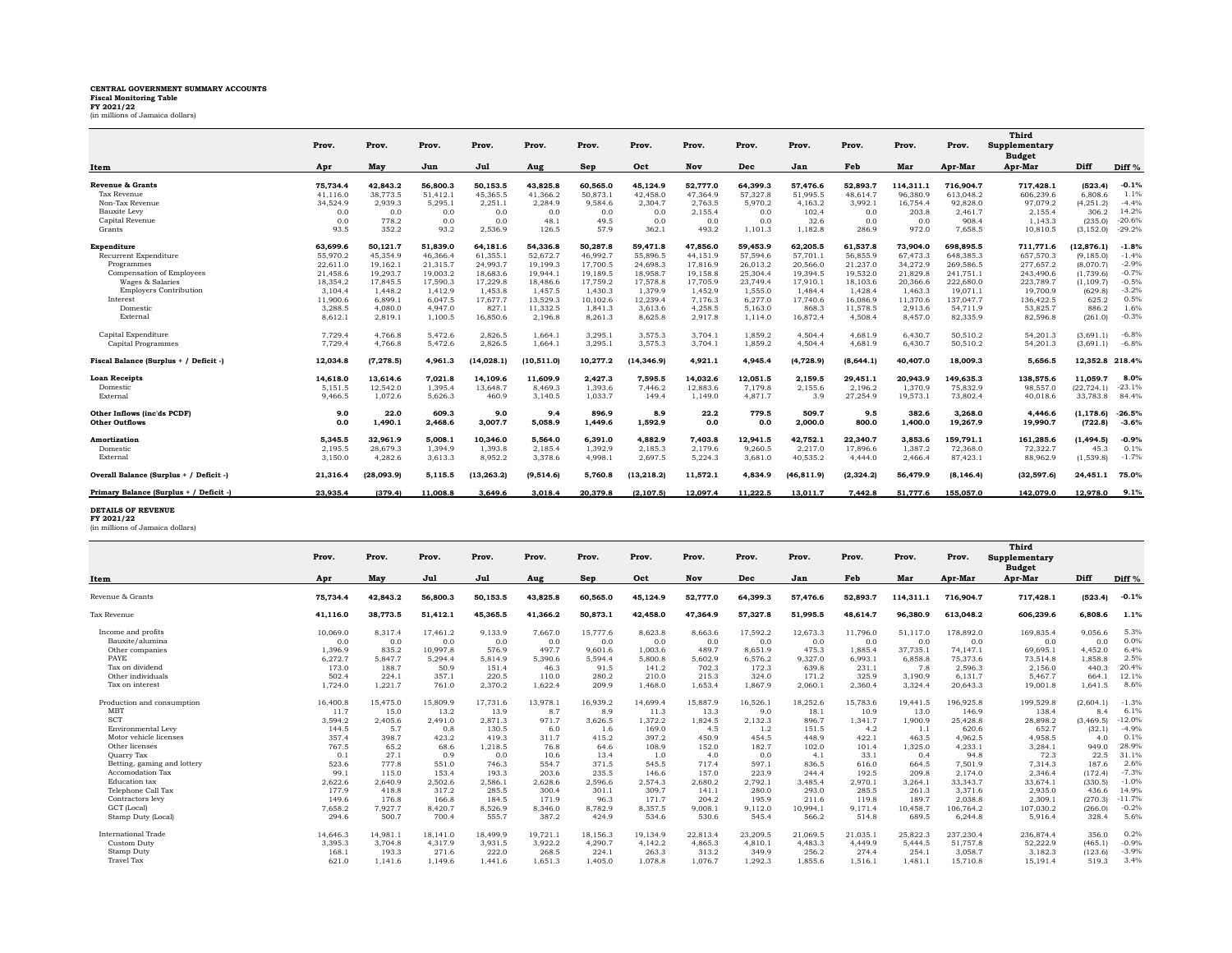## **CENTRAL GOVERNMENT SUMMARY ACCOUNTS Fiscal Monitoring Table FY 2021/22** (in millions of Jamaica dollars)

|                                         | Prov.    | Prov.      | Prov.    | Prov.       | Prov.       | Prov.      | Prov.       | Prov.    | Prov.    | Prov.       | Prov.      | Prov.     | Prov.      | Third<br>Supplementary<br><b>Budget</b> |                 |                   |
|-----------------------------------------|----------|------------|----------|-------------|-------------|------------|-------------|----------|----------|-------------|------------|-----------|------------|-----------------------------------------|-----------------|-------------------|
| Item                                    | Apr      | May        | Jun      | Jul         | Aug         | <b>Sep</b> | Oct         | Nov      | Dec      | Jan         | Feb        | Mar       | Apr-Mar    | Apr-Mar                                 | Diff            | Diff <sup>%</sup> |
| Revenue & Grants                        | 75.734.4 | 42.843.2   | 56,800.3 | 50.153.5    | 43.825.8    | 60.565.0   | 45.124.9    | 52.777.0 | 64.399.3 | 57,476.6    | 52,893.7   | 114.311.1 | 716.904.7  | 717.428.1                               | (523.4)         | $-0.1%$           |
| Tax Revenue                             | 41,116.0 | 38,773.5   | 51,412.1 | 45.365.5    | 41.366.2    | 50,873.1   | 42,458.0    | 47.364.9 | 57,327.8 | 51,995.5    | 48.614.7   | 96.380.9  | 613.048.2  | 606,239.6                               | 6.808.6         | 1.1%              |
| Non-Tax Revenue                         | 34.524.9 | 2.939.3    | 5.295.1  | 2.251.1     | 2.284.9     | 9.584.6    | 2.304.7     | 2.763.5  | 5.970.2  | 4.163.2     | 3.992.1    | 16.754.4  | 92.828.0   | 97.079.2                                | (4, 251.2)      | $-4.4%$           |
| Bauxite Levy                            | 0.0      | 0.0        | 0.0      | 0.0         | 0.0         | 0.0        | 0.0         | 2,155.4  | 0.0      | 102.4       | 0.0        | 203.8     | 2,461.7    | 2,155.4                                 | 306.2           | 14.2%             |
| Capital Revenue                         | 0.0      | 778.2      | 0.0      | 0.0         | 48.1        | 49.5       | 0.0         | 0.0      | 0.0      | 32.6        | 0.0        | 0.0       | 908.4      | 1,143.3                                 | (235.0)         | $-20.6%$          |
| Grants                                  | 93.5     | 352.2      | 93.2     | 2,536.9     | 126.5       | 57.9       | 362.1       | 493.2    | 1,101.3  | 1,182.8     | 286.9      | 972.0     | 7,658.5    | 10,810.5                                | (3, 152.0)      | $-29.2%$          |
| Expenditure                             | 63.699.6 | 50.121.7   | 51.839.0 | 64.181.6    | 54,336.8    | 50.287.8   | 59.471.8    | 47.856.0 | 59.453.9 | 62.205.5    | 61.537.8   | 73.904.0  | 698.895.5  | 711.771.6                               | (12.876.1)      | $-1.8%$           |
| Recurrent Expenditure                   | 55,970.2 | 45,354.9   | 46,366.4 | 61.355.1    | 52,672.7    | 46.992.7   | 55,896.5    | 44.151.9 | 57,594.6 | 57,701.1    | 56.855.9   | 67.473.3  | 648,385.3  | 657,570.3                               | (9, 185.0)      | $-1.4%$           |
| Programmes                              | 22,611.0 | 19,162.1   | 21,315.7 | 24,993.7    | 19.199.3    | 17,700.5   | 24.698.3    | 17,816.9 | 26,013.2 | 20,566.0    | 21,237.0   | 34.272.9  | 269,586.5  | 277.657.2                               | (8,070.7)       | $-2.9%$           |
| Compensation of Employees               | 21.458.6 | 19.293.7   | 19,003.2 | 18.683.6    | 19.944.1    | 19.189.5   | 18,958.7    | 19.158.8 | 25.304.4 | 19.394.5    | 19.532.0   | 21.829.8  | 241.751.1  | 243,490.6                               | (1.739.6)       | $-0.7%$           |
| Wages & Salaries                        | 18,354.2 | 17,845.5   | 17,590.3 | 17,229.8    | 18,486.6    | 17,759.2   | 17,578.8    | 17,705.9 | 23.749.4 | 17,910.1    | 18,103.6   | 20,366.6  | 222,680.0  | 223,789.7                               | (1, 109.7)      | $-0.5%$           |
| <b>Employers Contribution</b>           | 3,104.4  | 1.448.2    | 1.412.9  | 1.453.8     | 1,457.5     | 1,430.3    | 1.379.9     | 1.452.9  | 1,555.0  | 1,484.4     | 1.428.4    | 1.463.3   | 19,071.1   | 19,700.9                                | (629.8)         | $-3.2%$           |
| Interest                                | 11,900.6 | 6,899.1    | 6.047.5  | 17,677.7    | 13,529.3    | 10,102.6   | 12,239.4    | 7.176.3  | 6,277.0  | 17.740.6    | 16,086.9   | 11.370.6  | 137,047.7  | 136,422.5                               | 625.2           | 0.5%              |
| Domestic                                | 3,288.5  | 4,080.0    | 4,947.0  | 827.1       | 11,332.5    | 1,841.3    | 3,613.6     | 4,258.5  | 5,163.0  | 868.3       | 11,578.5   | 2,913.6   | 54,711.9   | 53,825.7                                | 886.2           | 1.6%              |
| External                                | 8.612.1  | 2.819.1    | 1.100.5  | 16.850.6    | 2.196.8     | 8,261.3    | 8,625.8     | 2.917.8  | 1.114.0  | 16,872.4    | 4,508.4    | 8,457.0   | 82,335.9   | 82,596.8                                | (261.0)         | $-0.3%$           |
| Capital Expenditure                     | 7,729.4  | 4,766.8    | 5,472.6  | 2,826.5     | 1.664.1     | 3,295.1    | 3,575.3     | 3.704.1  | 1,859.2  | 4,504.4     | 4,681.9    | 6.430.7   | 50,510.2   | 54,201.3                                | (3,691.1)       | $-6.8%$           |
| Capital Programmes                      | 7.729.4  | 4.766.8    | 5.472.6  | 2,826.5     | 1,664.1     | 3,295.1    | 3,575.3     | 3.704.1  | 1.859.2  | 4,504.4     | 4.681.9    | 6.430.7   | 50,510.2   | 54,201.3                                | (3.691.1)       | $-6.8%$           |
| Fiscal Balance (Surplus + / Deficit -)  | 12.034.8 | (7, 278.5) | 4.961.3  | (14.028.1)  | (10, 511.0) | 10.277.2   | (14, 346.9) | 4.921.1  | 4.945.4  | (4, 728.9)  | (8,644.1)  | 40,407.0  | 18,009.3   | 5.656.5                                 | 12.352.8 218.4% |                   |
| <b>Loan Receipts</b>                    | 14,618.0 | 13,614.6   | 7,021.8  | 14,109.6    | 11,609.9    | 2,427.3    | 7,595.5     | 14,032.6 | 12,051.5 | 2,159.5     | 29,451.1   | 20,943.9  | 149,635.3  | 138,575.6                               | 11,059.7        | 8.0%              |
| Domestic                                | 5.151.5  | 12.542.0   | 1.395.4  | 13.648.7    | 8.469.3     | 1,393.6    | 7.446.2     | 12,883.6 | 7.179.8  | 2,155.6     | 2.196.2    | 1.370.9   | 75.832.9   | 98,557.0                                | (22.724.1)      | $-23.1%$          |
| External                                | 9.466.5  | 1.072.6    | 5,626.3  | 460.9       | 3,140.5     | 1,033.7    | 149.4       | 1,149.0  | 4,871.7  | 3.9         | 27,254.9   | 19,573.1  | 73,802.4   | 40,018.6                                | 33,783.8        | 84.4%             |
| Other Inflows (inc'ds PCDF)             | 9.0      | 22.0       | 609.3    | 9.0         | 9.4         | 896.9      | 8.9         | 22.2     | 779.5    | 509.7       | 9.5        | 382.6     | 3.268.0    | 4.446.6                                 | (1.178.6)       | $-26.5%$          |
| <b>Other Outflows</b>                   | 0.0      | 1.490.1    | 2,468.6  | 3,007.7     | 5.058.9     | 1,449.6    | 1,592.9     | 0.0      | 0.0      | 2.000.0     | 800.0      | 1.400.0   | 19,267.9   | 19,990.7                                | (722.8)         | $-3.6%$           |
| <b>Amortization</b>                     | 5.345.5  | 32.961.9   | 5.008.1  | 10.346.0    | 5.564.0     | 6,391.0    | 4.882.9     | 7.403.8  | 12,941.5 | 42.752.1    | 22,340.7   | 3.853.6   | 159.791.1  | 161,285.6                               | (1.494.5)       | $-0.9%$           |
| Domestic                                | 2.195.5  | 28.679.3   | 1.394.9  | 1.393.8     | 2.185.4     | 1.392.9    | 2.185.3     | 2.179.6  | 9.260.5  | 2.217.0     | 17.896.6   | 1.387.2   | 72.368.0   | 72.322.7                                | 45.3            | 0.1%              |
| External                                | 3,150.0  | 4,282.6    | 3,613.3  | 8,952.2     | 3,378.6     | 4,998.1    | 2,697.5     | 5,224.3  | 3,681.0  | 40,535.2    | 4.444.0    | 2.466.4   | 87,423.1   | 88,962.9                                | (1,539.8)       | $-1.7%$           |
| Overall Balance (Surplus + / Deficit -) | 21,316.4 | (28,093.9) | 5.115.5  | (13, 263.2) | (9, 514.6)  | 5.760.8    | (13, 218.2) | 11,572.1 | 4.834.9  | (46, 811.9) | (2, 324.2) | 56,479.9  | (8, 146.4) | (32, 597.6)                             | 24,451.1        | 75.0%             |
| Primary Balance (Surplus + / Deficit -  | 23.935.4 | (379.4)    | 11,008.8 | 3,649.6     | 3,018.4     | 20,379.8   | (2, 107.5)  | 12,097.4 | 11,222.5 | 13,011.7    | 7.442.8    | 51,777.6  | 155,057.0  | 142.079.0                               | 12,978.0        | 9.1%              |

**DETAILS OF REVENUE FY 2021/22** (in millions of Jamaica dollars)

|                             | Prov.    | Prov.    | Prov.    | Prov.    | Prov.    | Prov.    | Prov.    | Prov.    | Prov.    | Prov.    | Prov.    | Prov.     | Prov.     | Third<br>Supplementary<br><b>Budget</b> |           |                   |
|-----------------------------|----------|----------|----------|----------|----------|----------|----------|----------|----------|----------|----------|-----------|-----------|-----------------------------------------|-----------|-------------------|
| Item                        | Apr      | May      | Jul      | Jul      | Aug      | Sep      | Oct      | Nov      | Dec      | Jan      | Feb      | Mar       | Apr-Mar   | Apr-Mar                                 | Diff      | Diff <sup>%</sup> |
| Revenue & Grants            | 75.734.4 | 42,843.2 | 56,800.3 | 50,153.5 | 43.825.8 | 60,565.0 | 45,124.9 | 52,777.0 | 64.399.3 | 57,476.6 | 52.893.7 | 114,311.1 | 716.904.7 | 717,428.1                               | (523.4)   | $-0.1%$           |
| <b>Tax Revenue</b>          | 41,116.0 | 38,773.5 | 51,412.1 | 45,365.5 | 41,366.2 | 50,873.1 | 42,458.0 | 47.364.9 | 57,327.8 | 51,995.5 | 48,614.7 | 96,380.9  | 613,048.2 | 606,239.6                               | 6.808.6   | 1.1%              |
| Income and profits          | 10.069.0 | 8.317.4  | 17.461.2 | 9.133.9  | 7.667.0  | 15,777.6 | 8.623.8  | 8.663.6  | 17.592.2 | 12,673.3 | 11.796.0 | 51.117.0  | 178,892.0 | 169,835.4                               | 9.056.6   | 5.3%              |
| Bauxite/alumina             | 0.0      | 0.0      | 0.0      | 0.0      | 0.0      | 0.0      | 0.0      | 0.0      | 0.0      | 0.0      | 0.0      | 0.0       | 0.0       | 0.0                                     | 0.0       | 0.0%              |
| Other companies             | 1.396.9  | 835.2    | 10.997.8 | 576.9    | 497.7    | 9.601.6  | 1.003.6  | 489.7    | 8.651.9  | 475.3    | 1.885.4  | 37.735.1  | 74.147.1  | 69.695.1                                | 4.452.0   | 6.4%              |
| PAYE                        | 6.272.7  | 5.847.7  | 5.294.4  | 5.814.9  | 5.390.6  | 5.594.4  | 5,800.8  | 5.602.9  | 6.576.2  | 9.327.0  | 6.993.1  | 6.858.8   | 75.373.6  | 73.514.8                                | 1.858.8   | 2.5%              |
| Tax on dividend             | 173.0    | 188.7    | 50.9     | 151.4    | 46.3     | 91.5     | 141.2    | 702.3    | 172.3    | 639.8    | 231.1    | 7.8       | 2.596.3   | 2.156.0                                 | 440.3     | 20.4%             |
| Other individuals           | 502.4    | 224.1    | 357.1    | 220.5    | 110.0    | 280.2    | 210.0    | 215.3    | 324.0    | 171.2    | 325.9    | 3.190.9   | 6.131.7   | 5.467.7                                 | 664.      | 12.1%             |
| Tax on interest             | 1,724.0  | 1,221.7  | 761.0    | 2,370.2  | 1,622.4  | 209.9    | 1.468.0  | 1.653.4  | 1,867.9  | 2.060.1  | 2.360.4  | 3,324.4   | 20,643.3  | 19,001.8                                | 1,641.5   | 8.6%              |
| Production and consumption  | 16,400.8 | 15,475.0 | 15,809.9 | 17.731.6 | 13.978.  | 16.939.2 | 14,699.4 | 15,887.9 | 16.526.1 | 18,252.6 | 15.783.6 | 19.441.5  | 196.925.8 | 199,529.8                               | (2.604,   | $-1.3%$           |
| <b>MBT</b>                  | 11.7     | 15.0     | 13.2     | 13.9     | 8.7      | 8.9      | 11.3     | 13.3     | 9.0      | 18.1     | 10.9     | 13.0      | 146.9     | 138.4                                   | 8.4       | 6.1%              |
| SCT                         | 3,594.2  | 2,405.6  | 2,491.0  | 2,871.3  | 971.7    | 3,626.5  | 1,372.2  | 1,824.5  | 2,132.3  | 896.7    | 1,341.7  | 1,900.9   | 25,428.8  | 28,898.2                                | (3.469.5) | $-12.0%$          |
| Environmental Levy          | 144.5    | 5.7      | 0.8      | 130.5    | 6.0      | 1.6      | 169.0    | 4.5      | 1.2      | 151.5    | 4.2      | 1.1       | 620.6     | 652.7                                   | (32.1)    | $-4.9%$           |
| Motor vehicle licenses      | 357.4    | 398.7    | 423.2    | 419.3    | 311.7    | 415.2    | 397.2    | 450.9    | 454.5    | 448.9    | 422.1    | 463.5     | 4.962.5   | 4.958.5                                 | 4.0       | 0.1%              |
| Other licenses              | 767.5    | 65.2     | 68.6     | 1.218.5  | 76.8     | 64.6     | 108.9    | 152.0    | 182.7    | 102.0    | 101.4    | 1.325.0   | 4.233.1   | 3.284.1                                 | 949.0     | 28.9%             |
| Ouarry Tax                  | 0.1      | 27.1     | 0.9      | 0.0      | 10.6     | 13.4     | 1.0      | 4.0      | 0.0      | 4.1      | 33.1     | 0.4       | 94.8      | 72.3                                    | 22.5      | 31.1%             |
| Betting, gaming and lottery | 523.6    | 777.8    | 551.0    | 746.3    | 554.7    | 371.5    | 545.5    | 717.4    | 597.1    | 836.5    | 616.0    | 664.5     | 7,501.9   | 7.314.3                                 | 187.6     | 2.6%              |
| Accomodation Tax            | 99.1     | 115.0    | 153.4    | 193.3    | 203.6    | 235.5    | 146.6    | 157.0    | 223.9    | 244.4    | 192.5    | 209.8     | 2.174.0   | 2.346.4                                 | (172.4)   | $-7.3%$           |
| Education tax               | 2,622.6  | 2.640.9  | 2.502.6  | 2.586.1  | 2.628.6  | 2.596.6  | 2.574.3  | 2.680.2  | 2,792.1  | 3.485.4  | 2.970.1  | 3.264.1   | 33.343.7  | 33.674.1                                | (330.5)   | $-1.0%$           |
| Telephone Call Tax          | 177.9    | 418.8    | 317.2    | 285.5    | 300.4    | 301.1    | 309.7    | 141.1    | 280.0    | 293.0    | 285.5    | 261.3     | 3,371.6   | 2,935.0                                 | 436.6     | 14.9%             |
| Contractors levy            | 149.6    | 176.8    | 166.8    | 184.5    | 171.9    | 96.3     | 171.7    | 204.2    | 195.9    | 211.6    | 119.8    | 189.7     | 2,038.8   | 2,309.1                                 | (270.3)   | $-11.7%$          |
| GCT (Local)                 | 7,658.2  | 7.927.7  | 8,420.7  | 8,526.9  | 8,346.0  | 8,782.9  | 8,357.5  | 9,008.1  | 9,112.0  | 10.994.1 | 9.171.4  | 10.458.7  | 106.764.2 | 107,030.2                               | (266.0)   | $-0.2%$           |
| Stamp Duty (Local)          | 294.6    | 500.7    | 700.4    | 555.7    | 387.2    | 424.9    | 534.6    | 530.6    | 545.4    | 566.2    | 514.8    | 689.5     | 6.244.8   | 5.916.4                                 | 328.4     | 5.6%              |
| International Trade         | 14.646.3 | 14.981.1 | 18.141.0 | 18,499.9 | 19.721.1 | 18.156.3 | 19.134.9 | 22.813.4 | 23.209.5 | 21.069.5 | 21.035.1 | 25.822.3  | 237.230.4 | 236,874.4                               | 356.0     | 0.2%              |
| <b>Custom Duty</b>          | 3.395.3  | 3.704.8  | 4.317.9  | 3.931.5  | 3.922.2  | 4.290.7  | 4.142.2  | 4.865.3  | 4.810.1  | 4.483.3  | 4.449.9  | 5.444.5   | 51.757.8  | 52.222.9                                | (465.1)   | $-0.9%$           |
| <b>Stamp Duty</b>           | 168.1    | 193.3    | 271.6    | 222.0    | 268.5    | 224.1    | 263.3    | 313.2    | 349.9    | 256.2    | 274.4    | 254.1     | 3.058.7   | 3.182.3                                 | (123.6)   | $-3.9%$           |
| Travel Tax                  | 621.0    | 1.141.6  | 1,149.6  | 1.441.6  | 1.651.3  | 1.405.0  | 1,078.8  | 1.076.7  | 1.292.3  | 1.855.6  | 1.516.1  | 1.481.    | 15,710.8  | 15,191.4                                | 519.3     | 3.4%              |